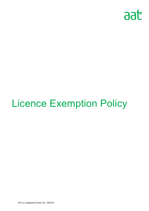

# Licence Exemption Policy

AAT is a registered charity. No. 1050724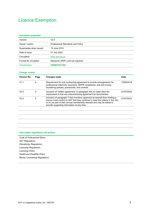# Licence Exemption

#### **Document properties**

| Version                | V2.0                                 |  |
|------------------------|--------------------------------------|--|
| Owner / author         | Professional Standards and Policy    |  |
| Supersedes when issued | 19 June 2019                         |  |
| Date of issue          | 01 July 2022                         |  |
| Circulation            | www.aat.org.uk                       |  |
| Format for circulation | Electronic (PDF); print as required. |  |
| Classification         | <b>UNRESTICTED</b>                   |  |

#### **Change control**

| <b>Version No.</b> | Page | Changes made                                                                                                                                                                                                                                                                              | <b>Date</b> |
|--------------------|------|-------------------------------------------------------------------------------------------------------------------------------------------------------------------------------------------------------------------------------------------------------------------------------------------|-------------|
| V1.1               | 4    | Requirement for sub-contracting agreement to include arrangements for<br>professional indemnity insurance, GDPR compliance, and anti-money<br>laundering policies, procedures, and controls.                                                                                              | 19/06/2019  |
| V2.0               | 4    | Inclusion of "written agreement" in paragraph 4(b) to make clear the<br>requirement is that any subcontracting agreement be documented.                                                                                                                                                   | 01/07/2022  |
| V2.0               | 5    | Inclusion of paragraph 7 that members approved as exempt from holding a<br><i>licence</i> must confirm to AAT that they continue to meet the criteria in 4a), 4b)<br>or 4c) as part of their annual membership renewal and may be asked to<br>provide supporting information at any time. |             |
|                    |      |                                                                                                                                                                                                                                                                                           |             |
|                    |      |                                                                                                                                                                                                                                                                                           |             |
|                    |      |                                                                                                                                                                                                                                                                                           |             |
|                    |      |                                                                                                                                                                                                                                                                                           |             |

#### **Associated regulations and polices**

*Code of Professional Ethics AAT Regulations Disciplinary Regulations Licensing Regulations Licensing Policy Health and Disability Policy Money Laundering Regulations*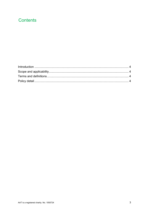## **Contents**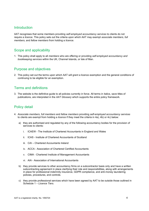#### Introduction

AAT recognises that some members providing *self-employed accountancy services* to clients do not require a *licence*. This policy sets out the criteria upon which AAT may exempt *associate members*, *full members,* and *fellow members* from holding a *licence.*

#### Scope and applicability

1. This policy shall apply to all *members* who are offering or providing *self-employed accountancy and bookkeeping services* within the UK, Channel Islands, or Isle of Man*.*

### Purpose and objectives

2. This policy set out the terms upon which AAT will grant a licence exemption and the general conditions of continuing to be eligible for an exemption.

### Terms and definitions

3. The website is the definitive guide to all policies currently in force. All terms in italics, save titles of publications, are interpreted in the *AAT Glossary* which supports the entire policy framework.

## Policy detail

- 4. *Associate members*, *full members* and *fellow members* providing *self-employed accountancy services* to clients are exempt from holding a *licence* if they meet the criteria in 4a), 4b) or 4c) below:
	- a) they are authorised and regulated by any of the following accountancy bodies for the provision of services to clients:
		- i. ICAEW The Institute of Chartered Accountants in England and Wales
		- ii. ICAS Institute of Chartered Accountants of Scotland
		- iii. CAI Chartered Accountants Ireland
		- iv. ACCA Association of Chartered Certified Accountants
		- v. CIMA Chartered Institute of Management Accountants
		- vi. AIA Association of International Accountants
	- b) they provide services to other accountancy firms on a subcontractor basis only and have a written subcontracting agreement in place clarifying their role and responsibilities, along with arrangements in place for professional indemnity insurance, GDPR compliance, and anti-money laundering policies, procedures, and controls.
	- c) they provide professional services which have been agreed by AAT to be outside those outlined in Schedule 1 – *Licence Tiers*.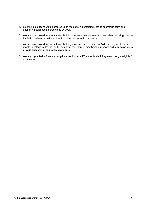- 5. *Licence* exemptions will be granted upon receipt of a completed *licence* exemption form and supporting evidence as prescribed by AAT.
- 6. *Members* approved as exempt from holding a *licence* may not refer to themselves as being licensed by AAT or advertise their services in connection to AAT in any way.
- 7. *Members* approved as exempt from holding a *licence* must confirm to AAT that they continue to meet the criteria in 4a), 4b) or 4c) as part of their annual membership renewal and may be asked to provide supporting information at any time.
- 8. *Members* granted a *licence* exemption must inform AAT immediately if they are no longer eligible for exemption.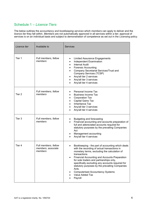## Schedule 1 – *Licence Tiers*

The below outlines the *accountancy and bookkeeping services* which *members* can apply to deliver and the *licence tier* they fall within. *Members* are not automatically approved in all services within a tier; approval of services is on an individual basis and subject to demonstration of competence as set out in the *Licensing* policy.

| Licence tier | Available to                                          | <b>Services</b>                                                                                                                                                                                                                                                                                                                                                                                                                                                           |
|--------------|-------------------------------------------------------|---------------------------------------------------------------------------------------------------------------------------------------------------------------------------------------------------------------------------------------------------------------------------------------------------------------------------------------------------------------------------------------------------------------------------------------------------------------------------|
| Tier 1       | Full members, fellow<br>members                       | <b>Limited Assurance Engagements</b><br>$\bullet$<br>Independent Examination<br><b>Internal Audit</b><br><b>Forensic Accounting</b><br>Company Secretarial Services/Trust and<br>Company Services (TCSP)<br>Any/all tier 2 services<br>$\bullet$<br>Any/all tier 3 services<br>Any/all tier 4 services                                                                                                                                                                    |
| Tier 2       | Full members, fellow<br>members                       | Personal Income Tax<br><b>Business Income Tax</b><br><b>Corporation Tax</b><br>Capital Gains Tax<br><b>Inheritance Tax</b><br>Any/all tier 3 services<br>Any/all tier 4 services                                                                                                                                                                                                                                                                                          |
| Tier 3       | Full members, fellow<br>members                       | <b>Budgeting and forecasting</b><br>Financial accounting and accounts preparation of<br>full and abbreviated accounts required for<br>statutory purposes by the prevailing Companies<br>Act<br>Management accounting<br>Any/all tier 4 services                                                                                                                                                                                                                           |
| Tier 4       | Full members, fellow<br>members, associate<br>members | Bookkeeping - the part of accounting which deals<br>$\bullet$<br>with the recording of actual transactions in<br>monetary terms, excluding the calculation of<br>transactions.<br><b>Financial Accounting and Accounts Preparation</b><br>for sole traders and partnerships only,<br>specifically excluding any accounts required for<br>statutory purposes by the prevailing Companies<br>Acts.<br><b>Computerised Accountancy Systems</b><br>Value Added Tax<br>Payroll |